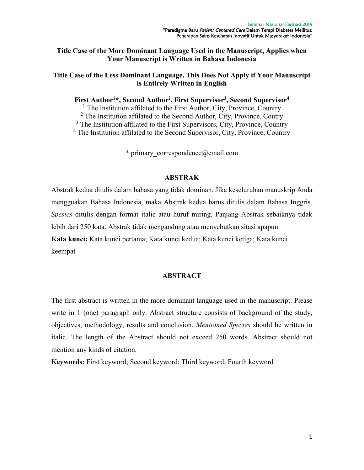# **Title Case of the More Dominant Language Used in the Manuscript, Applies when Your Manuscript is Written in Bahasa Indonesia**

## **Title Case of the Less Dominant Language, This Does Not Apply if Your Manuscript is Entirely Written in English**

**First Author<sup>1</sup>\*, Second Author<sup>2</sup> , First Supervisor<sup>3</sup> , Second Supervisor<sup>4</sup>**

<sup>1</sup> The Institution affilated to the First Author, City, Province, Country  $2$  The Institution affilated to the Second Author, City, Province, Coutry  $3$  The Institution affilated to the First Supervisors, City, Province, Country <sup>4</sup> The Institution affilated to the Second Supervisor, City, Province, Country

 $*$  primary correspondence@email.com

#### **ABSTRAK**

Abstrak kedua ditulis dalam bahasa yang tidak dominan. Jika keseluruhan manuskrip Anda mengguakan Bahasa Indonesia, maka Abstrak kedua harus ditulis dalam Bahasa Inggris. *Spesies* ditulis dengan format italic atau huruf miring. Panjang Abstrak sebaiknya tidak lebih dari 250 kata. Abstrak tidak mengandung atau menyebutkan sitasi apapun.

**Kata kunci:** Kata kunci pertama; Kata kunci kedua; Kata kunci ketiga; Kata kunci keempat

#### **ABSTRACT**

The first abstract is written in the more dominant language used in the manuscript. Please write in 1 (one) paragraph only. Abstract structure consists of background of the study, objectives, methodology, results and conclusion. *Mentioned Species* should be written in italic. The length of the Abstract should not exceed 250 words. Abstract should not mention any kinds of citation.

**Keywords:** First keyword; Second keyword; Third keyword; Fourth keyword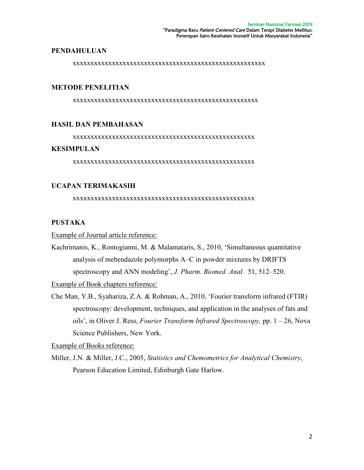#### **PENDAHULUAN**

xxxxxxxxxxxxxxxxxxxxxxxxxxxxxxxxxxxxxxxxxxxxxxxxxxxxxx

## **METODE PENELITIAN**

xxxxxxxxxxxxxxxxxxxxxxxxxxxxxxxxxxxxxxxxxxxxxxxxxxxx

## **HASIL DAN PEMBAHASAN**

xxxxxxxxxxxxxxxxxxxxxxxxxxxxxxxxxxxxxxxxxxxxxxxxxxx

# **KESIMPULAN**

xxxxxxxxxxxxxxxxxxxxxxxxxxxxxxxxxxxxxxxxxxxxxxxxxxx

# **UCAPAN TERIMAKASIH**

xxxxxxxxxxxxxxxxxxxxxxxxxxxxxxxxxxxxxxxxxxxxxxxxxxx

# **PUSTAKA**

Example of Journal article reference:

Kachrimanis, K., Rontogianni, M. & Malamataris, S., 2010, 'Simultaneous quantitative analysis of mebendazole polymorphs A–C in powder mixtures by DRIFTS spectroscopy and ANN modeling', *J. Pharm. Biomed. Anal.* 51, 512–520.

Example of Book chapters reference:

Che Man, Y.B., Syahariza, Z.A. & Rohman, A., 2010, 'Fourier transform infrared (FTIR) spectroscopy: development, techniques, and application in the analyses of fats and oils', in Oliver J. Ress, *Fourier Transform Infrared Spectroscopy,* pp. 1 – 26, Nova Science Publishers, New York.

Example of Books reference:

Miller, J.N. & Miller, J.C., 2005, *Statistics and Chemometrics for Analytical Chemistry*, Pearson Education Limited, Edinburgh Gate Harlow.